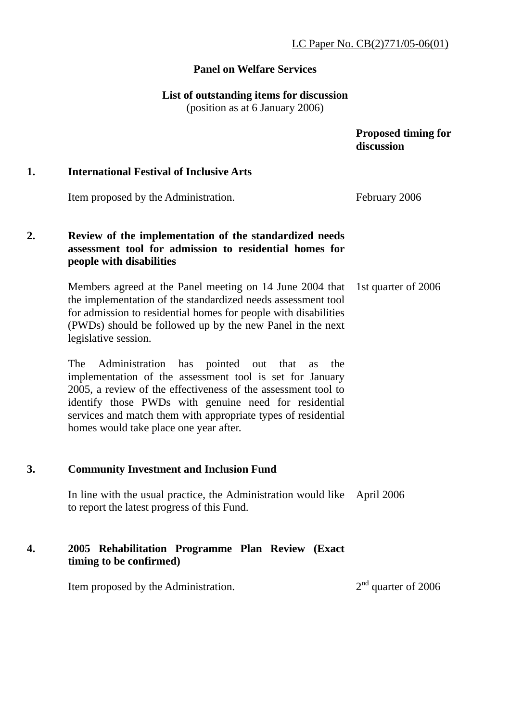## **Panel on Welfare Services**

#### **List of outstanding items for discussion**

(position as at 6 January 2006)

 **Proposed timing for discussion** 

## **1. International Festival of Inclusive Arts**

Item proposed by the Administration. February 2006

## **2. Review of the implementation of the standardized needs assessment tool for admission to residential homes for people with disabilities**

Members agreed at the Panel meeting on 14 June 2004 that the implementation of the standardized needs assessment tool for admission to residential homes for people with disabilities (PWDs) should be followed up by the new Panel in the next legislative session. 1st quarter of 2006

The Administration has pointed out that as the implementation of the assessment tool is set for January 2005, a review of the effectiveness of the assessment tool to identify those PWDs with genuine need for residential services and match them with appropriate types of residential homes would take place one year after.

## **3. Community Investment and Inclusion Fund**

In line with the usual practice, the Administration would like April 2006 to report the latest progress of this Fund.

## **4. 2005 Rehabilitation Programme Plan Review (Exact timing to be confirmed)**

Item proposed by the Administration.  $2<sup>nd</sup>$  quarter of 2006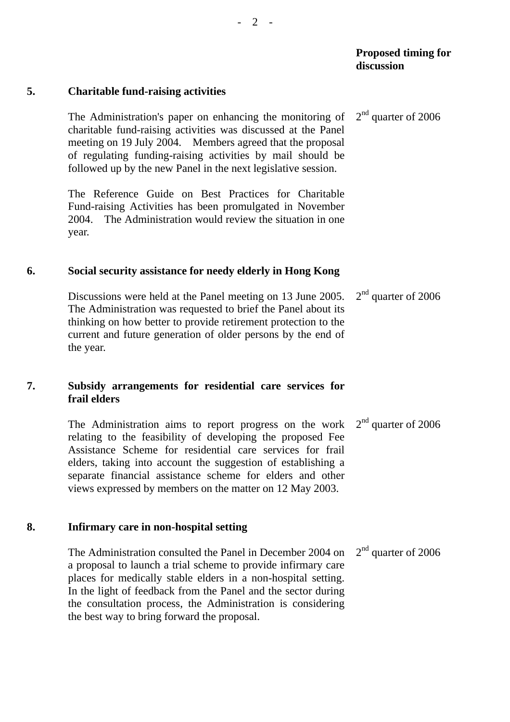# **5. Charitable fund-raising activities**

The Administration's paper on enhancing the monitoring of charitable fund-raising activities was discussed at the Panel meeting on 19 July 2004. Members agreed that the proposal of regulating funding-raising activities by mail should be followed up by the new Panel in the next legislative session. 2<sup>nd</sup> quarter of 2006

The Reference Guide on Best Practices for Charitable Fund-raising Activities has been promulgated in November 2004. The Administration would review the situation in one year.

## **6. Social security assistance for needy elderly in Hong Kong**

Discussions were held at the Panel meeting on 13 June 2005. The Administration was requested to brief the Panel about its thinking on how better to provide retirement protection to the current and future generation of older persons by the end of the year.  $2<sup>nd</sup>$  quarter of 2006

## **7. Subsidy arrangements for residential care services for frail elders**

The Administration aims to report progress on the work relating to the feasibility of developing the proposed Fee Assistance Scheme for residential care services for frail elders, taking into account the suggestion of establishing a separate financial assistance scheme for elders and other views expressed by members on the matter on 12 May 2003. 2<sup>nd</sup> quarter of 2006

# **8. Infirmary care in non-hospital setting**

The Administration consulted the Panel in December 2004 on a proposal to launch a trial scheme to provide infirmary care places for medically stable elders in a non-hospital setting. In the light of feedback from the Panel and the sector during the consultation process, the Administration is considering the best way to bring forward the proposal. 2<sup>nd</sup> quarter of 2006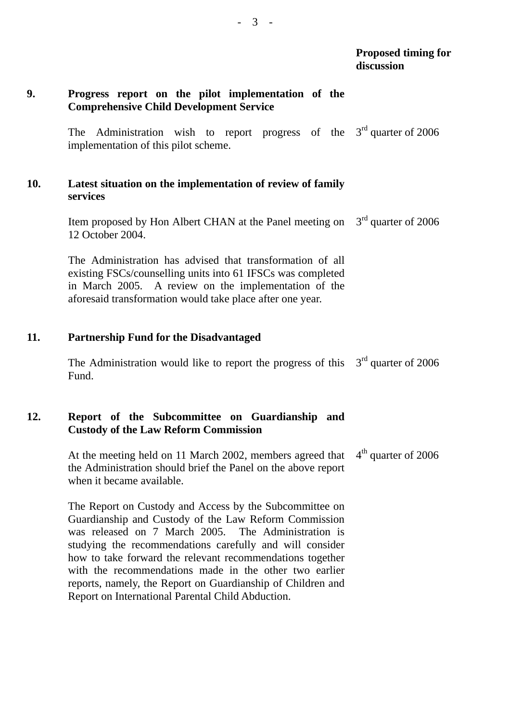#### **9. Progress report on the pilot implementation of the Comprehensive Child Development Service**

The Administration wish to report progress of the  $3<sup>rd</sup>$  quarter of 2006 implementation of this pilot scheme.

## **10. Latest situation on the implementation of review of family services**

Item proposed by Hon Albert CHAN at the Panel meeting on  $3<sup>rd</sup>$  quarter of 2006 12 October 2004.

The Administration has advised that transformation of all existing FSCs/counselling units into 61 IFSCs was completed in March 2005. A review on the implementation of the aforesaid transformation would take place after one year.

#### **11. Partnership Fund for the Disadvantaged**

The Administration would like to report the progress of this  $3<sup>rd</sup>$  quarter of 2006 Fund.

#### **12. Report of the Subcommittee on Guardianship and Custody of the Law Reform Commission**

At the meeting held on 11 March 2002, members agreed that the Administration should brief the Panel on the above report when it became available.  $4<sup>th</sup>$  quarter of 2006

The Report on Custody and Access by the Subcommittee on Guardianship and Custody of the Law Reform Commission was released on 7 March 2005. The Administration is studying the recommendations carefully and will consider how to take forward the relevant recommendations together with the recommendations made in the other two earlier reports, namely, the Report on Guardianship of Children and Report on International Parental Child Abduction.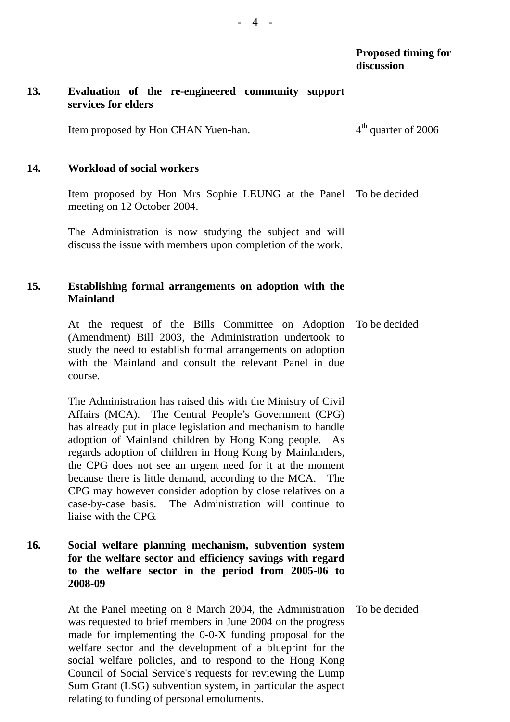#### **13. Evaluation of the re-engineered community support services for elders**

Item proposed by Hon CHAN Yuen-han.  $4<sup>th</sup>$  quarter of 2006

#### **14. Workload of social workers**

Item proposed by Hon Mrs Sophie LEUNG at the Panel To be decided meeting on 12 October 2004.

The Administration is now studying the subject and will discuss the issue with members upon completion of the work.

## **15. Establishing formal arrangements on adoption with the Mainland**

At the request of the Bills Committee on Adoption (Amendment) Bill 2003, the Administration undertook to study the need to establish formal arrangements on adoption with the Mainland and consult the relevant Panel in due course. To be decided

The Administration has raised this with the Ministry of Civil Affairs (MCA). The Central People's Government (CPG) has already put in place legislation and mechanism to handle adoption of Mainland children by Hong Kong people. As regards adoption of children in Hong Kong by Mainlanders, the CPG does not see an urgent need for it at the moment because there is little demand, according to the MCA. The CPG may however consider adoption by close relatives on a case-by-case basis. The Administration will continue to liaise with the CPG.

## **16. Social welfare planning mechanism, subvention system for the welfare sector and efficiency savings with regard to the welfare sector in the period from 2005-06 to 2008-09**

At the Panel meeting on 8 March 2004, the Administration was requested to brief members in June 2004 on the progress made for implementing the 0-0-X funding proposal for the welfare sector and the development of a blueprint for the social welfare policies, and to respond to the Hong Kong Council of Social Service's requests for reviewing the Lump Sum Grant (LSG) subvention system, in particular the aspect relating to funding of personal emoluments. To be decided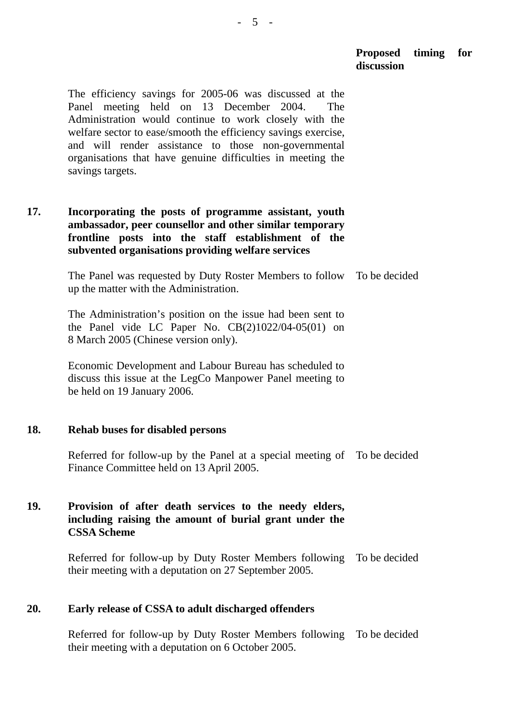## **Proposed timing for discussion**

The efficiency savings for 2005-06 was discussed at the Panel meeting held on 13 December 2004. The Administration would continue to work closely with the welfare sector to ease/smooth the efficiency savings exercise, and will render assistance to those non-governmental organisations that have genuine difficulties in meeting the savings targets.

## **17. Incorporating the posts of programme assistant, youth ambassador, peer counsellor and other similar temporary frontline posts into the staff establishment of the subvented organisations providing welfare services**

The Panel was requested by Duty Roster Members to follow To be decided up the matter with the Administration.

The Administration's position on the issue had been sent to the Panel vide LC Paper No.  $CB(2)1022/04-05(01)$  on 8 March 2005 (Chinese version only).

Economic Development and Labour Bureau has scheduled to discuss this issue at the LegCo Manpower Panel meeting to be held on 19 January 2006.

#### **18. Rehab buses for disabled persons**

Referred for follow-up by the Panel at a special meeting of To be decided Finance Committee held on 13 April 2005.

#### **19. Provision of after death services to the needy elders, including raising the amount of burial grant under the CSSA Scheme**

Referred for follow-up by Duty Roster Members following To be decided their meeting with a deputation on 27 September 2005.

#### **20. Early release of CSSA to adult discharged offenders**

Referred for follow-up by Duty Roster Members following To be decided their meeting with a deputation on 6 October 2005.